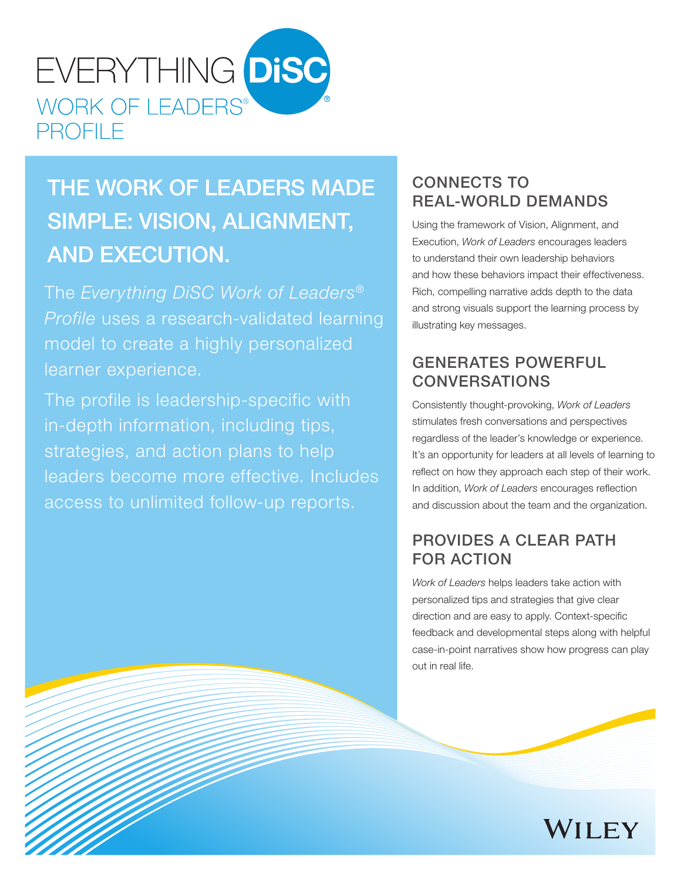

# THE WORK OF LEADERS MADE SIMPLE: VISION, ALIGNMENT, AND EXECUTION.

The *Everything DiSC Work of Leaders® Profile* uses a research-validated learning model to create a highly personalized learner experience.

The profile is leadership-specific with in-depth information, including tips, strategies, and action plans to help leaders become more effective. Includes access to unlimited follow-up reports.

## CONNECTS TO REAL-WORLD DEMANDS

Using the framework of Vision, Alignment, and Execution, *Work of Leaders* encourages leaders to understand their own leadership behaviors and how these behaviors impact their effectiveness. Rich, compelling narrative adds depth to the data and strong visuals support the learning process by illustrating key messages.

## GENERATES POWERFUL CONVERSATIONS

Consistently thought-provoking, *Work of Leaders* stimulates fresh conversations and perspectives regardless of the leader's knowledge or experience. It's an opportunity for leaders at all levels of learning to reflect on how they approach each step of their work. In addition, *Work of Leaders* encourages reflection and discussion about the team and the organization.

## PROVIDES A CLEAR PATH FOR ACTION

*Work of Leaders* helps leaders take action with personalized tips and strategies that give clear direction and are easy to apply. Context-specific feedback and developmental steps along with helpful case-in-point narratives show how progress can play out in real life.